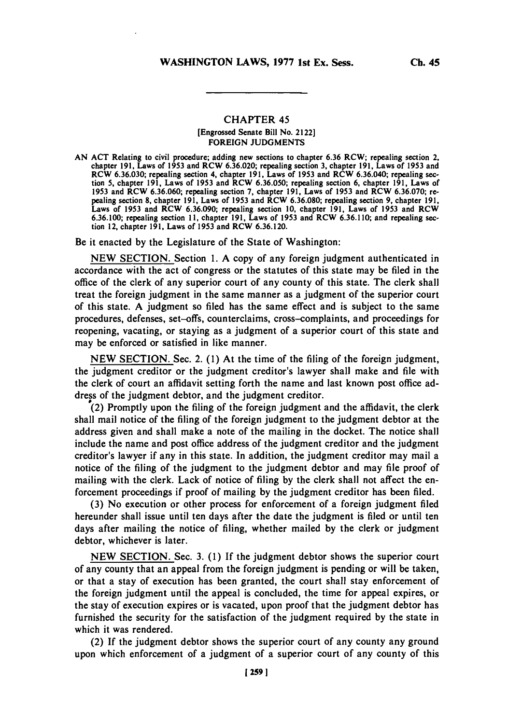## CHAPTER 45

## [Engrossed Senate Bill No. 2122] **FOREIGN JUDGMENTS**

**AN ACT** Relating to civil procedure; adding new sections to chapter **6.36** RCW; repealing section 2, chapter **191,** Laws of **1953** and RCW **6.36.020;** repealing section **3,** chapter **191,** Laws of *1953* and RCW **6.36.030;** repealing section 4, chapter **191,** Laws of **1953** and RCW **6.36.040;** repealing sec tion **5,** chapter **191,** Laws of **1953** and RCW **6.36.050;** repealing section **6,** chapter **191,** Laws of **1953** and RCW **6.36.060;** repealing section **7,** chapter **191,** Laws of **1953** and RCW **6.36.070;** re pealing section **8,** chapter **191,** Laws of **1953** and RCW **6.36.080;** repealing section **9,** chapter **191,** Laws of **1953** and RCW **6.36.090;** repealing section **10,** chapter **191,** Laws of **1953** and RCW **6.36.100;** repealing section **11,** chapter **191,** Laws of **1953** and RCW **6.36.110;** and repealing sec tion 12, chapter **191,** Laws of **1953** and RCW **6.36.120.**

Be it enacted **by** the Legislature of the State of Washington:

**NEW SECTION.** Section **1. A** copy of any foreign judgment authenticated in accordance with the act of congress or the statutes of this state may be filed in the office of the clerk of any superior court of any county of this state. The clerk shall treat the foreign judgment in the same manner as a judgment of the superior court of this state. **A** judgment so filed has the same effect and is subject to the same procedures, defenses, set-offs, counterclaims, cross-complaints, and proceedings for reopening, vacating, or staying as a judgment of a superior court of this state and may be enforced or satisfied in like manner.

**NEW** SECTION. Sec. 2. **(1)** At the time of the filing of the foreign judgment, the judgment creditor or the judgment creditor's lawyer shall make and file with the clerk of court an affidavit setting forth the name and last known post office address of the judgment debtor, and the judgment creditor.

(2) Promptly upon the filing of the foreign judgment and the affidavit, the clerk shall mail notice of the filing of the foreign judgment to the judgment debtor at the address given and shall make a note of the mailing in the docket. The notice shall include the name and post office address of the judgment creditor and the judgment creditor's lawyer if any in this state. In addition, the judgment creditor may mail a notice of the filing of the judgment to the judgment debtor and may file proof of mailing with the clerk. Lack of notice of filing **by** the clerk shall not affect the enforcement proceedings if proof of mailing **by** the judgment creditor has been filed.

**(3)** No execution or other process for enforcement of a foreign judgment filed hereunder shall issue until ten days after the date the judgment is filed or until ten days after mailing the notice of filing, whether mailed **by** the clerk or judgment debtor, whichever is later.

**NEW SECTION.** Sec. **3. (1) If** the judgment debtor shows the superior court of any county that an appeal from the foreign judgment is pending or will be taken, or that a stay of execution has been granted, the court shall stay enforcement of the foreign judgment until the appeal is concluded, the time for appeal expires, or the stay of execution expires or is vacated, upon proof that the judgment debtor has furnished the security for the satisfaction of the judgment required **by** the state in which it was rendered.

(2) If the judgment debtor shows the superior court of any county any ground upon which enforcement of a judgment of a superior court of any county of this